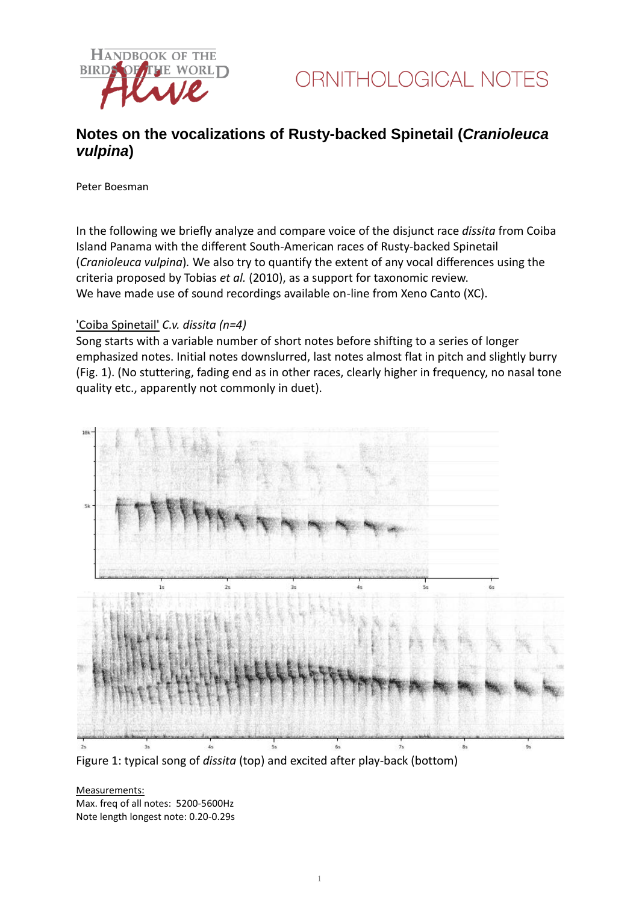

## **Notes on the vocalizations of Rusty-backed Spinetail (***Cranioleuca vulpina***)**

Peter Boesman

In the following we briefly analyze and compare voice of the disjunct race *dissita* from Coiba Island Panama with the different South-American races of Rusty-backed Spinetail (*Cranioleuca vulpina*)*.* We also try to quantify the extent of any vocal differences using the criteria proposed by Tobias *et al.* (2010), as a support for taxonomic review. We have made use of sound recordings available on-line from Xeno Canto (XC).

#### 'Coiba Spinetail' *C.v. dissita (n=4)*

Song starts with a variable number of short notes before shifting to a series of longer emphasized notes. Initial notes downslurred, last notes almost flat in pitch and slightly burry (Fig. 1). (No stuttering, fading end as in other races, clearly higher in frequency, no nasal tone quality etc., apparently not commonly in duet).



Figure 1: typical song of *dissita* (top) and excited after play-back (bottom)

#### Measurements:

Max. freq of all notes: 5200-5600Hz Note length longest note: 0.20-0.29s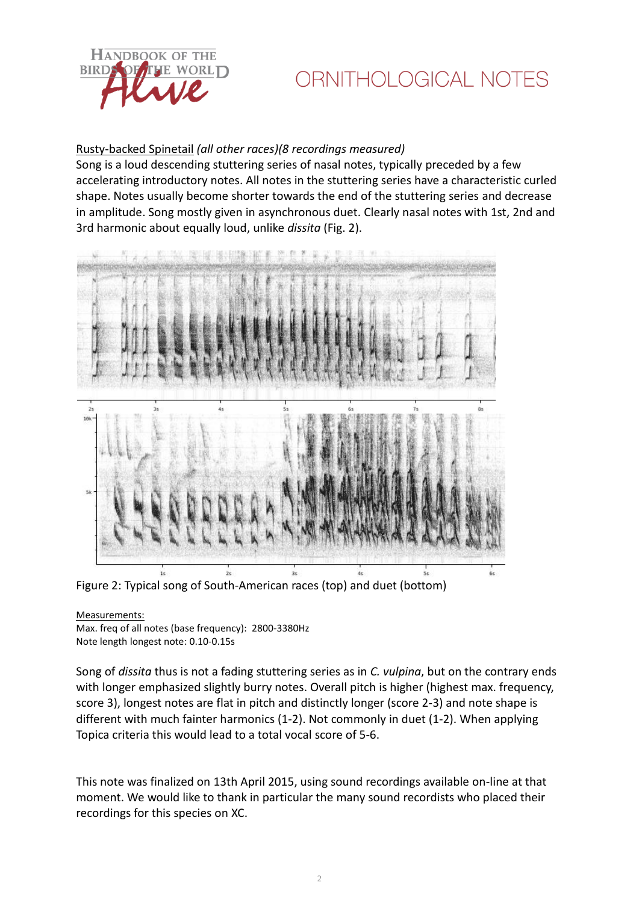

# ORNITHOLOGICAL NOTES

## Rusty-backed Spinetail *(all other races)(8 recordings measured)*

Song is a loud descending stuttering series of nasal notes, typically preceded by a few accelerating introductory notes. All notes in the stuttering series have a characteristic curled shape. Notes usually become shorter towards the end of the stuttering series and decrease in amplitude. Song mostly given in asynchronous duet. Clearly nasal notes with 1st, 2nd and 3rd harmonic about equally loud, unlike *dissita* (Fig. 2).



Figure 2: Typical song of South-American races (top) and duet (bottom)

#### Measurements:

Max. freq of all notes (base frequency): 2800-3380Hz Note length longest note: 0.10-0.15s

Song of *dissita* thus is not a fading stuttering series as in *C. vulpina*, but on the contrary ends with longer emphasized slightly burry notes. Overall pitch is higher (highest max. frequency, score 3), longest notes are flat in pitch and distinctly longer (score 2-3) and note shape is different with much fainter harmonics (1-2). Not commonly in duet (1-2). When applying Topica criteria this would lead to a total vocal score of 5-6.

This note was finalized on 13th April 2015, using sound recordings available on-line at that moment. We would like to thank in particular the many sound recordists who placed their recordings for this species on XC.